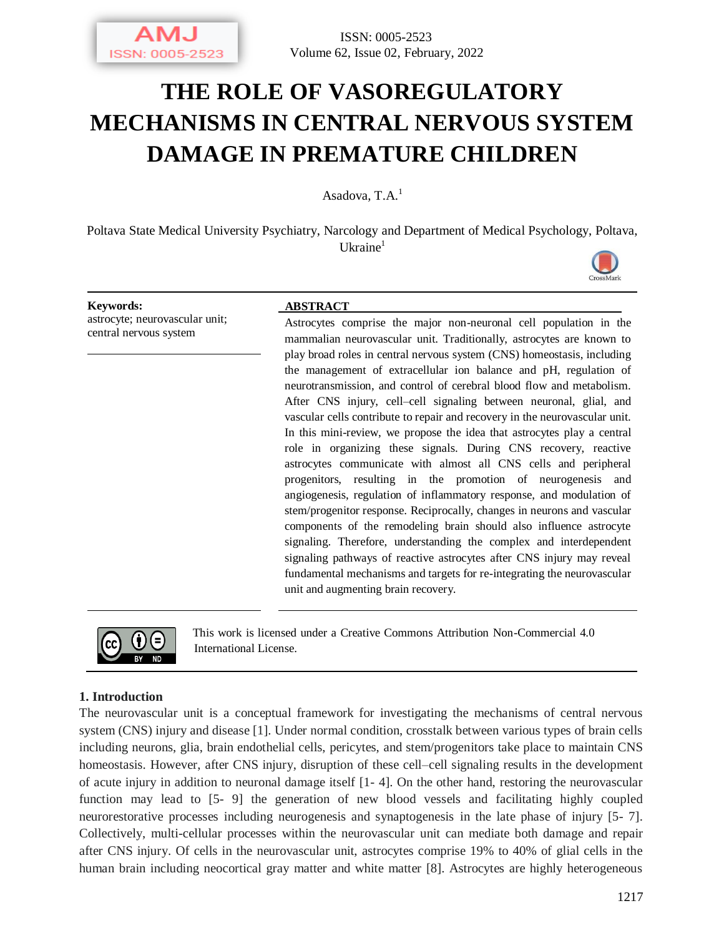

ISSN: 0005-2523 Volume 62, Issue 02, February, 2022

# **THE ROLE OF VASOREGULATORY MECHANISMS IN CENTRAL NERVOUS SYSTEM DAMAGE IN PREMATURE CHILDREN**

Asadova,  $T.A.<sup>1</sup>$ 

Poltava State Medical University Psychiatry, Narcology and Department of Medical Psychology, Poltava, Ukraine<sup>1</sup>



astrocyte; neurovascular unit; central nervous system

#### **Keywords: ABSTRACT**

Astrocytes comprise the major non-neuronal cell population in the mammalian neurovascular unit. Traditionally, astrocytes are known to play broad roles in central nervous system (CNS) homeostasis, including the management of extracellular ion balance and pH, regulation of neurotransmission, and control of cerebral blood flow and metabolism. After CNS injury, cell–cell signaling between neuronal, glial, and vascular cells contribute to repair and recovery in the neurovascular unit. In this mini-review, we propose the idea that astrocytes play a central role in organizing these signals. During CNS recovery, reactive astrocytes communicate with almost all CNS cells and peripheral progenitors, resulting in the promotion of neurogenesis and angiogenesis, regulation of inflammatory response, and modulation of stem/progenitor response. Reciprocally, changes in neurons and vascular components of the remodeling brain should also influence astrocyte signaling. Therefore, understanding the complex and interdependent signaling pathways of reactive astrocytes after CNS injury may reveal fundamental mechanisms and targets for re-integrating the neurovascular unit and augmenting brain recovery.



This work is licensed under a Creative Commons Attribution Non-Commercial 4.0 International License.

#### **1. Introduction**

The neurovascular unit is a conceptual framework for investigating the mechanisms of central nervous system (CNS) injury and disease [1]. Under normal condition, crosstalk between various types of brain cells including neurons, glia, brain endothelial cells, pericytes, and stem/progenitors take place to maintain CNS homeostasis. However, after CNS injury, disruption of these cell–cell signaling results in the development of acute injury in addition to neuronal damage itself [1- 4]. On the other hand, restoring the neurovascular function may lead to [5- 9] the generation of new blood vessels and facilitating highly coupled neurorestorative processes including neurogenesis and synaptogenesis in the late phase of injury [5- 7]. Collectively, multi-cellular processes within the neurovascular unit can mediate both damage and repair after CNS injury. Of cells in the neurovascular unit, astrocytes comprise 19% to 40% of glial cells in the human brain including neocortical gray matter and white matter [8]. Astrocytes are highly heterogeneous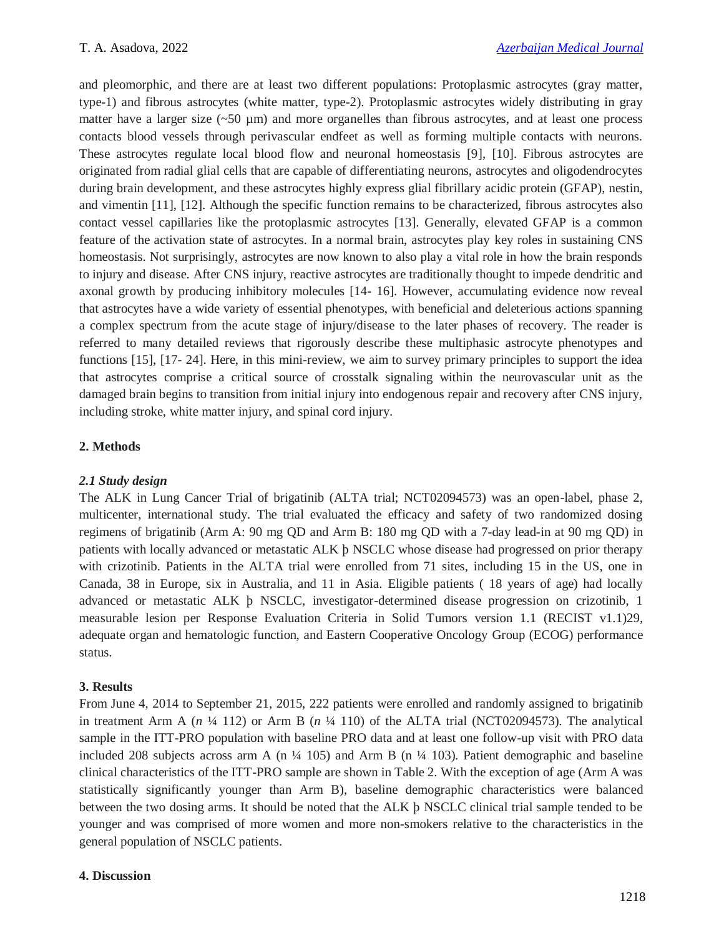and pleomorphic, and there are at least two different populations: Protoplasmic astrocytes (gray matter, type-1) and fibrous astrocytes (white matter, type-2). Protoplasmic astrocytes widely distributing in gray matter have a larger size  $({\sim}50 \text{ }\mu\text{m})$  and more organelles than fibrous astrocytes, and at least one process contacts blood vessels through perivascular endfeet as well as forming multiple contacts with neurons. These astrocytes regulate local blood flow and neuronal homeostasis [9], [10]. Fibrous astrocytes are originated from radial glial cells that are capable of differentiating neurons, astrocytes and oligodendrocytes during brain development, and these astrocytes highly express glial fibrillary acidic protein (GFAP), nestin, and vimentin [11], [12]. Although the specific function remains to be characterized, fibrous astrocytes also contact vessel capillaries like the protoplasmic astrocytes [13]. Generally, elevated GFAP is a common feature of the activation state of astrocytes. In a normal brain, astrocytes play key roles in sustaining CNS homeostasis. Not surprisingly, astrocytes are now known to also play a vital role in how the brain responds to injury and disease. After CNS injury, reactive astrocytes are traditionally thought to impede dendritic and axonal growth by producing inhibitory molecules [14- 16]. However, accumulating evidence now reveal that astrocytes have a wide variety of essential phenotypes, with beneficial and deleterious actions spanning a complex spectrum from the acute stage of injury/disease to the later phases of recovery. The reader is referred to many detailed reviews that rigorously describe these multiphasic astrocyte phenotypes and functions [15], [17- 24]. Here, in this mini-review, we aim to survey primary principles to support the idea that astrocytes comprise a critical source of crosstalk signaling within the neurovascular unit as the damaged brain begins to transition from initial injury into endogenous repair and recovery after CNS injury, including stroke, white matter injury, and spinal cord injury.

# **2. Methods**

# *2.1 Study design*

The ALK in Lung Cancer Trial of brigatinib (ALTA trial; NCT02094573) was an open-label, phase 2, multicenter, international study. The trial evaluated the efficacy and safety of two randomized dosing regimens of brigatinib (Arm A: 90 mg QD and Arm B: 180 mg QD with a 7-day lead-in at 90 mg QD) in patients with locally advanced or metastatic ALK þ NSCLC whose disease had progressed on prior therapy with crizotinib. Patients in the ALTA trial were enrolled from 71 sites, including 15 in the US, one in Canada, 38 in Europe, six in Australia, and 11 in Asia. Eligible patients ( 18 years of age) had locally advanced or metastatic ALK þ NSCLC, investigator-determined disease progression on crizotinib, 1 measurable lesion per Response Evaluation Criteria in Solid Tumors version 1.1 (RECIST v1.1)29, adequate organ and hematologic function, and Eastern Cooperative Oncology Group (ECOG) performance status.

### **3. Results**

From June 4, 2014 to September 21, 2015, 222 patients were enrolled and randomly assigned to brigatinib in treatment Arm A (*n* ¼ 112) or Arm B (*n* ¼ 110) of the ALTA trial (NCT02094573). The analytical sample in the ITT-PRO population with baseline PRO data and at least one follow-up visit with PRO data included 208 subjects across arm A (n  $\frac{1}{4}$  105) and Arm B (n  $\frac{1}{4}$  103). Patient demographic and baseline clinical characteristics of the ITT-PRO sample are shown in Table 2. With the exception of age (Arm A was statistically significantly younger than Arm B), baseline demographic characteristics were balanced between the two dosing arms. It should be noted that the ALK þ NSCLC clinical trial sample tended to be younger and was comprised of more women and more non-smokers relative to the characteristics in the general population of NSCLC patients.

#### **4. Discussion**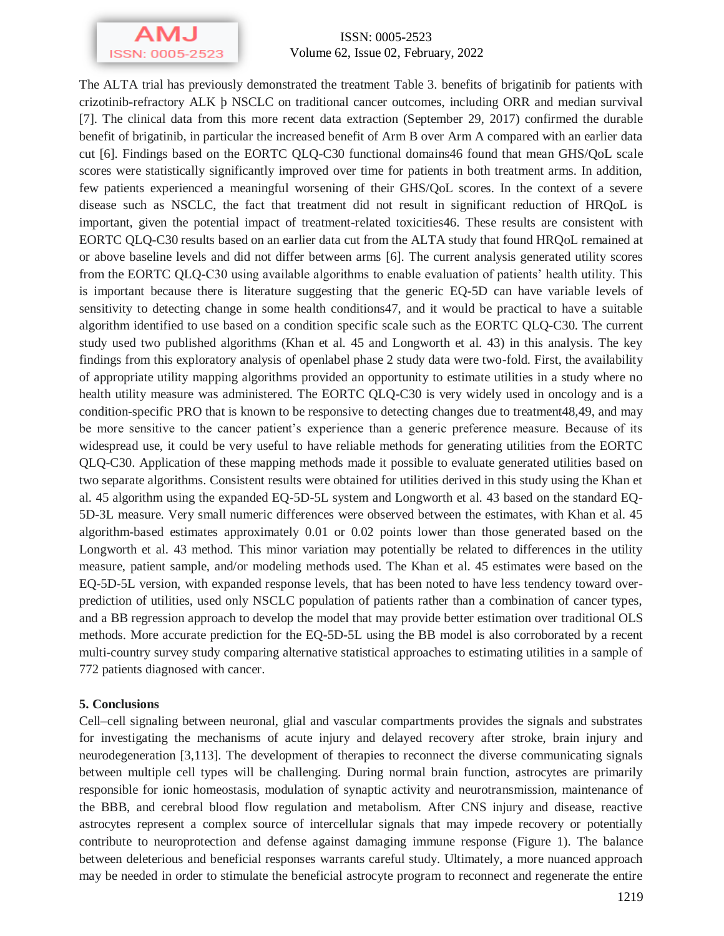

ISSN: 0005-2523 Volume 62, Issue 02, February, 2022

The ALTA trial has previously demonstrated the treatment Table 3. benefits of brigatinib for patients with crizotinib-refractory ALK þ NSCLC on traditional cancer outcomes, including ORR and median survival [7]. The clinical data from this more recent data extraction (September 29, 2017) confirmed the durable benefit of brigatinib, in particular the increased benefit of Arm B over Arm A compared with an earlier data cut [6]. Findings based on the EORTC QLQ-C30 functional domains46 found that mean GHS/QoL scale scores were statistically significantly improved over time for patients in both treatment arms. In addition, few patients experienced a meaningful worsening of their GHS/QoL scores. In the context of a severe disease such as NSCLC, the fact that treatment did not result in significant reduction of HRQoL is important, given the potential impact of treatment-related toxicities46. These results are consistent with EORTC QLQ-C30 results based on an earlier data cut from the ALTA study that found HRQoL remained at or above baseline levels and did not differ between arms [6]. The current analysis generated utility scores from the EORTC QLQ-C30 using available algorithms to enable evaluation of patients' health utility. This is important because there is literature suggesting that the generic EQ-5D can have variable levels of sensitivity to detecting change in some health conditions47, and it would be practical to have a suitable algorithm identified to use based on a condition specific scale such as the EORTC QLQ-C30. The current study used two published algorithms (Khan et al. 45 and Longworth et al. 43) in this analysis. The key findings from this exploratory analysis of openlabel phase 2 study data were two-fold. First, the availability of appropriate utility mapping algorithms provided an opportunity to estimate utilities in a study where no health utility measure was administered. The EORTC QLQ-C30 is very widely used in oncology and is a condition-specific PRO that is known to be responsive to detecting changes due to treatment48,49, and may be more sensitive to the cancer patient's experience than a generic preference measure. Because of its widespread use, it could be very useful to have reliable methods for generating utilities from the EORTC QLQ-C30. Application of these mapping methods made it possible to evaluate generated utilities based on two separate algorithms. Consistent results were obtained for utilities derived in this study using the Khan et al. 45 algorithm using the expanded EQ-5D-5L system and Longworth et al. 43 based on the standard EQ-5D-3L measure. Very small numeric differences were observed between the estimates, with Khan et al. 45 algorithm-based estimates approximately 0.01 or 0.02 points lower than those generated based on the Longworth et al. 43 method. This minor variation may potentially be related to differences in the utility measure, patient sample, and/or modeling methods used. The Khan et al. 45 estimates were based on the EQ-5D-5L version, with expanded response levels, that has been noted to have less tendency toward overprediction of utilities, used only NSCLC population of patients rather than a combination of cancer types, and a BB regression approach to develop the model that may provide better estimation over traditional OLS methods. More accurate prediction for the EQ-5D-5L using the BB model is also corroborated by a recent multi-country survey study comparing alternative statistical approaches to estimating utilities in a sample of 772 patients diagnosed with cancer.

#### **5. Conclusions**

Cell–cell signaling between neuronal, glial and vascular compartments provides the signals and substrates for investigating the mechanisms of acute injury and delayed recovery after stroke, brain injury and neurodegeneration [3,113]. The development of therapies to reconnect the diverse communicating signals between multiple cell types will be challenging. During normal brain function, astrocytes are primarily responsible for ionic homeostasis, modulation of synaptic activity and neurotransmission, maintenance of the BBB, and cerebral blood flow regulation and metabolism. After CNS injury and disease, reactive astrocytes represent a complex source of intercellular signals that may impede recovery or potentially contribute to neuroprotection and defense against damaging immune response (Figure 1). The balance between deleterious and beneficial responses warrants careful study. Ultimately, a more nuanced approach may be needed in order to stimulate the beneficial astrocyte program to reconnect and regenerate the entire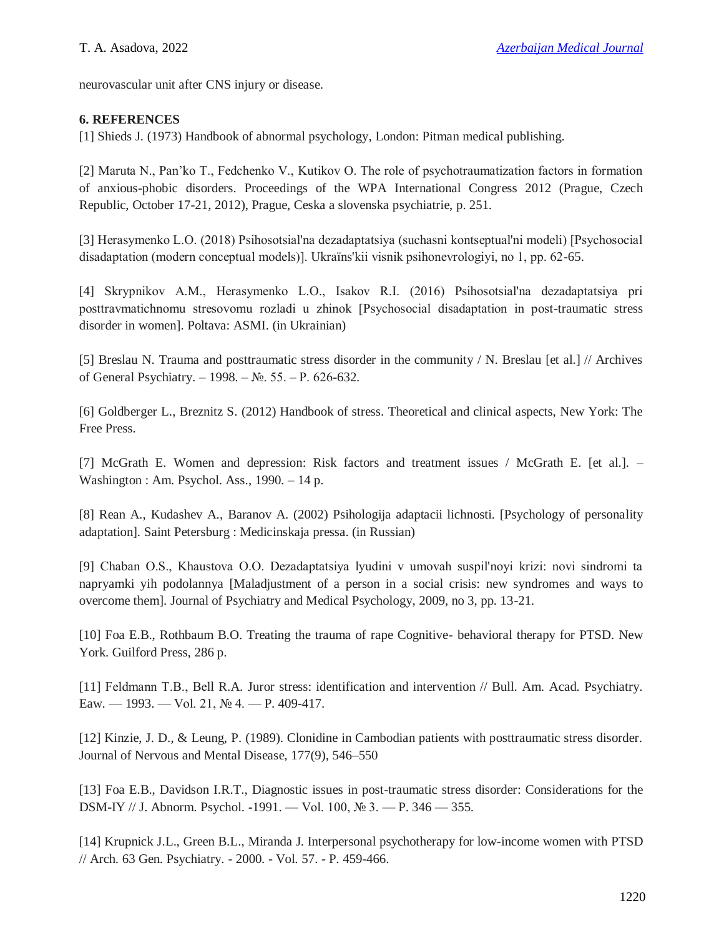neurovascular unit after CNS injury or disease.

## **6. REFERENCES**

[1] Shieds J. (1973) Handbook of abnormal psychology, London: Pitman medical publishing.

[2] Maruta N., Pan'ko T., Fedchenko V., Kutikov O. The role of psychotraumatization factors in formation of anxious-phobic disorders. Proceedings of the WPA International Congress 2012 (Prague, Czech Republic, October 17-21, 2012), Prague, Ceska a slovenska psychiatrie, p. 251.

[3] Herasymenko L.O. (2018) Psihosotsіal'na dezadaptatsіya (suchasnі kontseptual'nі modelі) [Psychosocial disadaptation (modern conceptual models)]. Ukraїns'kii vіsnik psihonevrologіyi, no 1, pp. 62-65.

[4] Skrypnіkov A.M., Herasymenko L.O., Іsakov R.І. (2016) Psihosotsіal'na dezadaptatsіya pri posttravmatichnomu stresovomu rozladі u zhіnok [Psychosocial disadaptation in post-traumatic stress disorder in women]. Poltava: ASMI. (in Ukrainian)

[5] Breslau N. Trauma and posttraumatic stress disorder in the community / N. Breslau [et al.] // Archives of General Psychiatry. – 1998. – №. 55. – Р. 626-632.

[6] Goldberger L., Breznitz S. (2012) Handbook of stress. Theoretical and clinical aspects, New York: The Free Press.

[7] McGrath E. Women and depression: Risk factors and treatment issues / McGrath E. [et al.]. – Washington : Am. Psychol. Ass., 1990. – 14 p.

[8] Rean A., Kudashev A., Baranov A. (2002) Psihologija adaptacii lichnosti. [Psychology of personality adaptation]. Saint Petersburg : Medicinskaja pressa. (in Russian)

[9] Chaban O.S., Khaustova O.O. Dezadaptatsіya lyudini v umovah suspіl'noyi krizi: novі sindromi ta napryamki yih podolannya [Maladjustment of a person in a social crisis: new syndromes and ways to overcome them]. Journal of Psychiatry and Medical Psychology, 2009, no 3, pp. 13-21.

[10] Foa E.B., Rothbaum B.O. Treating the trauma of rape Cognitive- behavioral therapy for PTSD. New York. Guilford Press, 286 p.

[11] Feldmann Т.В., Bell R.A. Juror stress: identification and intervention // Bull. Am. Acad. Psychiatry. Eaw. — 1993. — Vol. 21, № 4. — P. 409-417.

[12] Kinzie, J. D., & Leung, P. (1989). Clonidine in Cambodian patients with posttraumatic stress disorder. Journal of Nervous and Mental Disease, 177(9), 546–550

[13] Foa E.B., Davidson I.R.T., Diagnostic issues in post-traumatic stress disorder: Considerations for the DSM-IY // J. Abnorm. Psychol. -1991. — Vol. 100, № 3. — P. 346 — 355.

[14] Krupnick J.L., Green B.L., Miranda J. Interpersonal psychotherapy for low-income women with PTSD // Arch. 63 Gen. Psychiatry. - 2000. - Vol. 57. - P. 459-466.